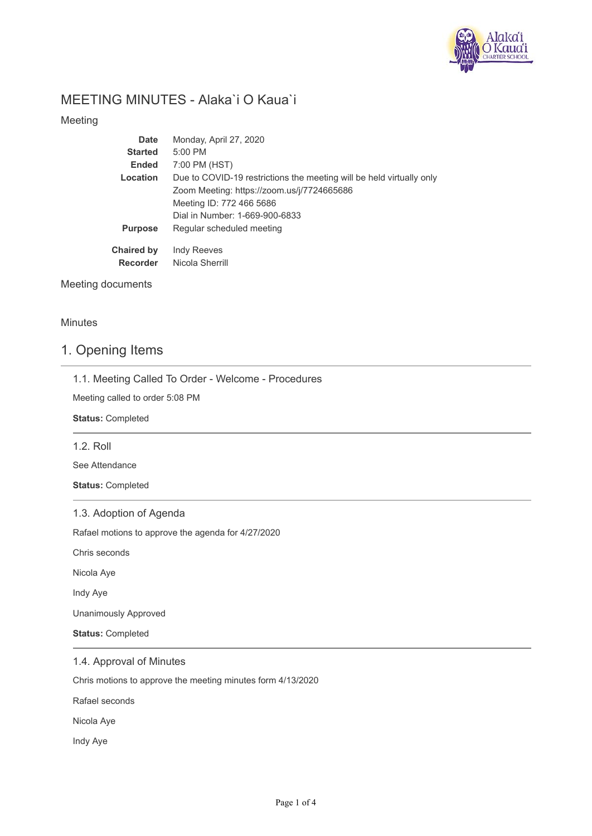

# MEETING MINUTES - Alaka`i O Kaua`i

Meeting

| Date                                 | Monday, April 27, 2020                                               |
|--------------------------------------|----------------------------------------------------------------------|
| <b>Started</b>                       | $5:00$ PM                                                            |
| <b>Ended</b>                         | 7:00 PM (HST)                                                        |
| Location                             | Due to COVID-19 restrictions the meeting will be held virtually only |
|                                      | Zoom Meeting: https://zoom.us/j/7724665686                           |
|                                      | Meeting ID: 772 466 5686                                             |
|                                      | Dial in Number: 1-669-900-6833                                       |
| <b>Purpose</b>                       | Regular scheduled meeting                                            |
| <b>Chaired by</b><br><b>Recorder</b> | <b>Indy Reeves</b><br>Nicola Sherrill                                |

Meeting documents

**Minutes** 

### 1. Opening Items

|  | 1.1. Meeting Called To Order - Welcome - Procedures |  |  |  |  |  |  |  |
|--|-----------------------------------------------------|--|--|--|--|--|--|--|
|--|-----------------------------------------------------|--|--|--|--|--|--|--|

Meeting called to order 5:08 PM

**Status:** Completed

1.2. Roll

See Attendance

**Status:** Completed

1.3. Adoption of Agenda

Rafael motions to approve the agenda for 4/27/2020

Chris seconds

Nicola Aye

Indy Aye

Unanimously Approved

**Status:** Completed

1.4. Approval of Minutes

Chris motions to approve the meeting minutes form 4/13/2020

Rafael seconds

Nicola Aye

Indy Aye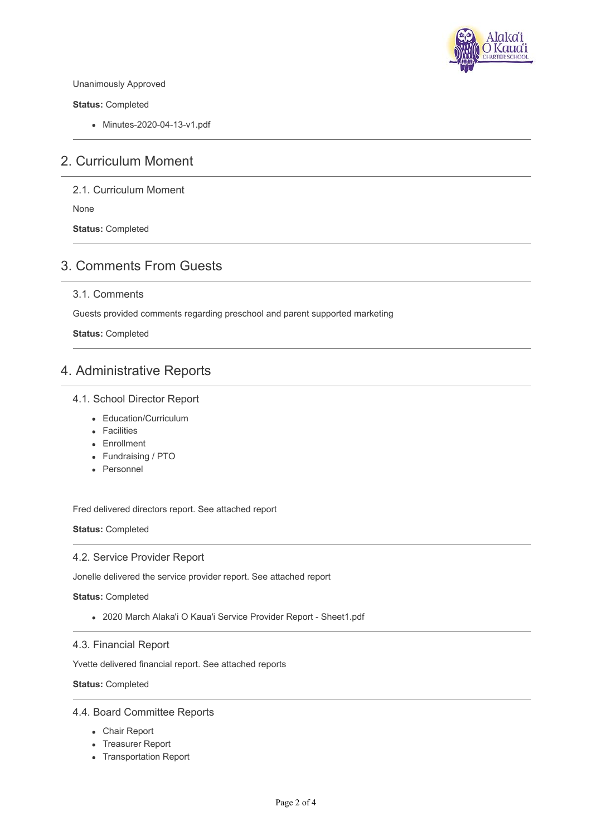

Unanimously Approved

**Status:** Completed

Minutes-2020-04-13-v1.pdf

## 2. Curriculum Moment

2.1. Curriculum Moment

None

**Status:** Completed

## 3. Comments From Guests

### 3.1. Comments

Guests provided comments regarding preschool and parent supported marketing

**Status:** Completed

### 4. Administrative Reports

### 4.1. School Director Report

- Education/Curriculum
- Facilities
- **Enrollment**
- Fundraising / PTO
- Personnel

Fred delivered directors report. See attached report

**Status:** Completed

#### 4.2. Service Provider Report

Jonelle delivered the service provider report. See attached report

**Status:** Completed

2020 March Alaka'i O Kaua'i Service Provider Report - Sheet1.pdf

#### 4.3. Financial Report

Yvette delivered financial report. See attached reports

**Status:** Completed

#### 4.4. Board Committee Reports

- Chair Report
- Treasurer Report
- Transportation Report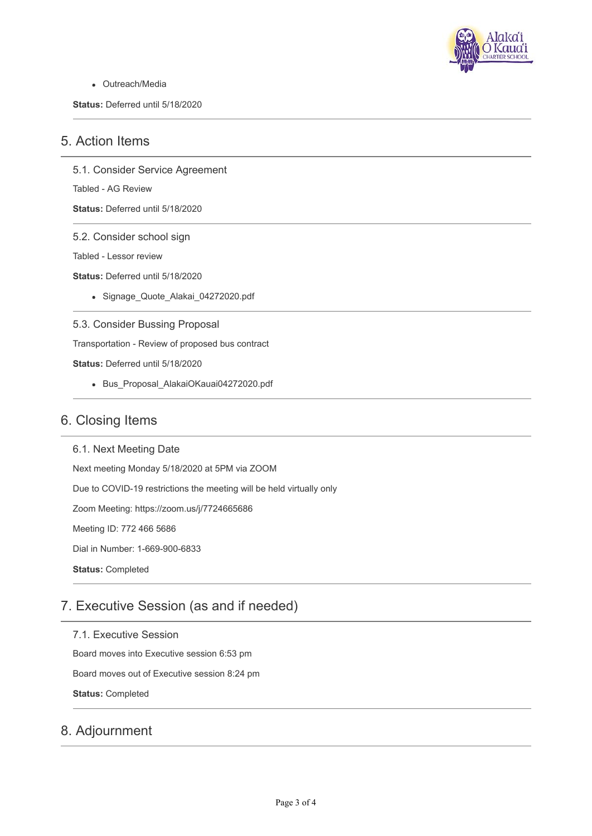

Outreach/Media

**Status:** Deferred until 5/18/2020

### 5. Action Items

5.1. Consider Service Agreement

Tabled - AG Review

**Status:** Deferred until 5/18/2020

### 5.2. Consider school sign

Tabled - Lessor review

**Status:** Deferred until 5/18/2020

Signage\_Quote\_Alakai\_04272020.pdf

5.3. Consider Bussing Proposal

Transportation - Review of proposed bus contract

**Status:** Deferred until 5/18/2020

Bus\_Proposal\_AlakaiOKauai04272020.pdf

### 6. Closing Items

6.1. Next Meeting Date Next meeting Monday 5/18/2020 at 5PM via ZOOM Due to COVID-19 restrictions the meeting will be held virtually only Zoom Meeting: https://zoom.us/j/7724665686 Meeting ID: 772 466 5686 Dial in Number: 1-669-900-6833 **Status:** Completed

# 7. Executive Session (as and if needed)

7.1. Executive Session Board moves into Executive session 6:53 pm Board moves out of Executive session 8:24 pm **Status:** Completed

# 8. Adjournment